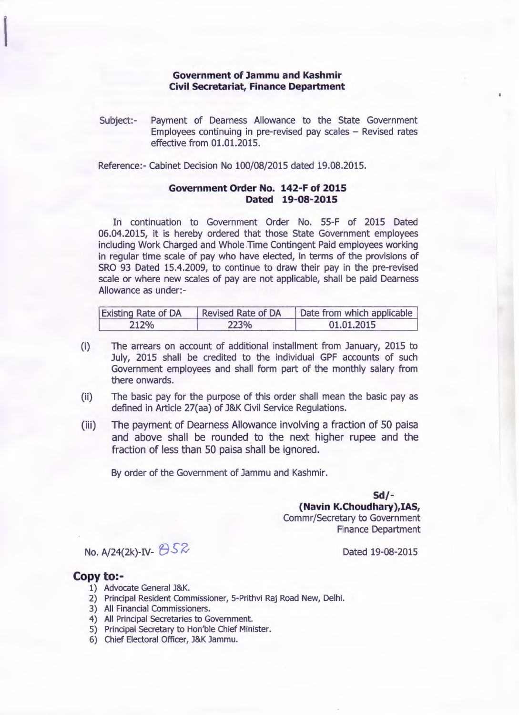## **Government of Jammu and Kashmir Civil Secretariat, Finance Department**

Subject:- Payment of Dearness Allowance to the State Government Employees continuing in pre-revised pay scales  $-$  Revised rates effective from 01.01.2015.

Reference:- Cabinet Decision No 100/08/2015 dated 19.08.2015.

## **Government Order No. 142-F of 2015 Dated 19-08-2015**

In continuation to Government Order No. 55-F of 2015 Dated 06.04.2015, it is hereby ordered that those State Government employees including Work Charged and Whole Time Contingent Paid employees working in regular time scale of pay who have elected, in terms of the provisions of SRO 93 Dated 15.4.2009, to continue to draw their pay in the pre-revised scale or where new scales of pay are not applicable, shall be paid Dearness Allowance as under:-

| <b>Existing Rate of DA</b> | <b>Revised Rate of DA</b> | Date from which applicable |
|----------------------------|---------------------------|----------------------------|
| 212%                       | 223%                      | 01.01.2015                 |

- (i) The arrears on account of additional installment from January, 2015 to July, 2015 shall be credited to the individual GPF accounts of such Government employees and shall form part of the monthly salary from there onwards.
- (ii) The basic pay for the purpose of this order shall mean the basic pay as defined in Article 27(aa) of J&K Civil Service Regulations.
- (iii) The payment of Dearness Allowance involving a fraction of 50 paisa and above shall be rounded to the next higher rupee and the fraction of less than 50 paisa shall be ignored.

By order of the Government of Jammu and Kashmir.

**Sd/- (Navin K.Choudhary},IAS,** Commr/Secretary to Government Finance Department

## No. A/24(2k)-IV-  $\bigoplus$  52

## **Copy to:-**

- 1) Advocate General J&K.
- 2) Principal Resident Commissioner, S-Prithvi Raj Road New, Delhi.
- 3) All Financial Commissioners.
- 4) All Principal Secretaries to Government.
- S) Principal Secretary to Hon'ble Chief Minister.
- 6) Chief Electoral Officer, J&K Jammu.